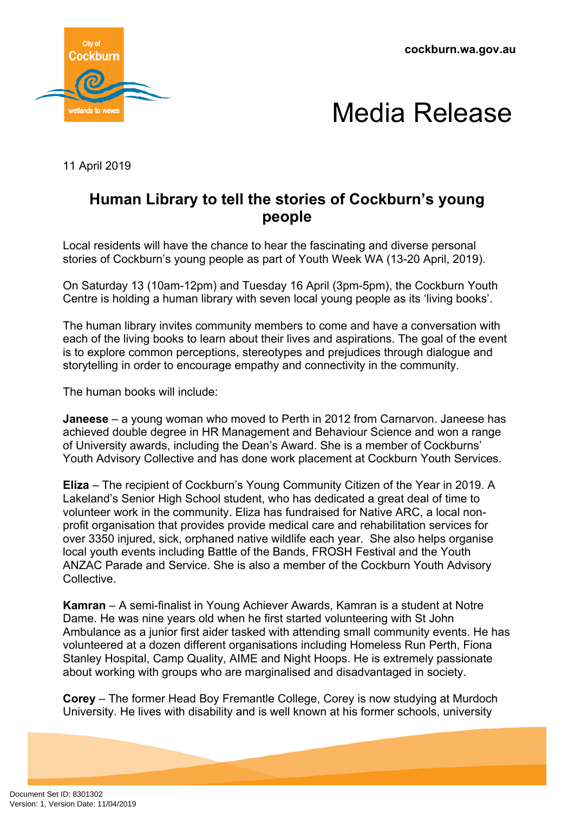**cockburn.wa.gov.au**





11 April 2019

## **Human Library to tell the stories of Cockburn's young people**

Local residents will have the chance to hear the fascinating and diverse personal stories of Cockburn's young people as part of Youth Week WA (13-20 April, 2019).

On Saturday 13 (10am-12pm) and Tuesday 16 April (3pm-5pm), the Cockburn Youth Centre is holding a human library with seven local young people as its 'living books'.

The human library invites community members to come and have a conversation with each of the living books to learn about their lives and aspirations. The goal of the event is to explore common perceptions, stereotypes and prejudices through dialogue and storytelling in order to encourage empathy and connectivity in the community.

The human books will include:

**Janeese** – a young woman who moved to Perth in 2012 from Carnarvon. Janeese has achieved double degree in HR Management and Behaviour Science and won a range of University awards, including the Dean's Award. She is a member of Cockburns' Youth Advisory Collective and has done work placement at Cockburn Youth Services.

**Eliza** – The recipient of Cockburn's Young Community Citizen of the Year in 2019. A Lakeland's Senior High School student, who has dedicated a great deal of time to volunteer work in the community. Eliza has fundraised for Native ARC, a local nonprofit organisation that provides provide medical care and rehabilitation services for over 3350 injured, sick, orphaned native wildlife each year. She also helps organise local youth events including Battle of the Bands, FROSH Festival and the Youth ANZAC Parade and Service. She is also a member of the Cockburn Youth Advisory **Collective** 

**Kamran** – A semi-finalist in Young Achiever Awards, Kamran is a student at Notre Dame. He was nine years old when he first started volunteering with St John Ambulance as a junior first aider tasked with attending small community events. He has volunteered at a dozen different organisations including Homeless Run Perth, Fiona Stanley Hospital, Camp Quality, AIME and Night Hoops. He is extremely passionate about working with groups who are marginalised and disadvantaged in society.

**Corey** – The former Head Boy Fremantle College, Corey is now studying at Murdoch University. He lives with disability and is well known at his former schools, university